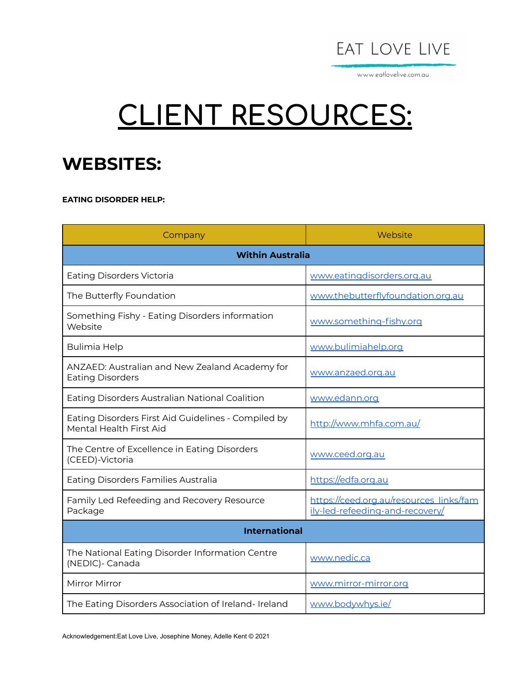

www.eatlovelive.com.au

# **CLIENT RESOURCES:**

#### **WEBSITES:**

**EATING DISORDER HELP:**

| Company                                                                        | Website                                                                    |  |
|--------------------------------------------------------------------------------|----------------------------------------------------------------------------|--|
| <b>Within Australia</b>                                                        |                                                                            |  |
| <b>Eating Disorders Victoria</b>                                               | www.eatingdisorders.org.au                                                 |  |
| The Butterfly Foundation                                                       | www.thebutterflyfoundation.org.au                                          |  |
| Something Fishy - Eating Disorders information<br>Website                      | www.something-fishy.org                                                    |  |
| <b>Bulimia Help</b>                                                            | www.bulimiahelp.org                                                        |  |
| ANZAED: Australian and New Zealand Academy for<br><b>Eating Disorders</b>      | www.anzaed.org.au                                                          |  |
| Eating Disorders Australian National Coalition                                 | www.edann.org                                                              |  |
| Eating Disorders First Aid Guidelines - Compiled by<br>Mental Health First Aid | http://www.mhfa.com.au/                                                    |  |
| The Centre of Excellence in Eating Disorders<br>(CEED)-Victoria                | www.ceed.org.au                                                            |  |
| Eating Disorders Families Australia                                            | https://edfa.org.au                                                        |  |
| Family Led Refeeding and Recovery Resource<br>Package                          | https://ceed.org.au/resources_links/fam<br>ily-led-refeeding-and-recovery/ |  |
| <b>International</b>                                                           |                                                                            |  |
| The National Eating Disorder Information Centre<br>(NEDIC)- Canada             | www.nedic.ca                                                               |  |
| Mirror Mirror                                                                  | www.mirror-mirror.org                                                      |  |
| The Eating Disorders Association of Ireland- Ireland                           | www.bodywhys.ie/                                                           |  |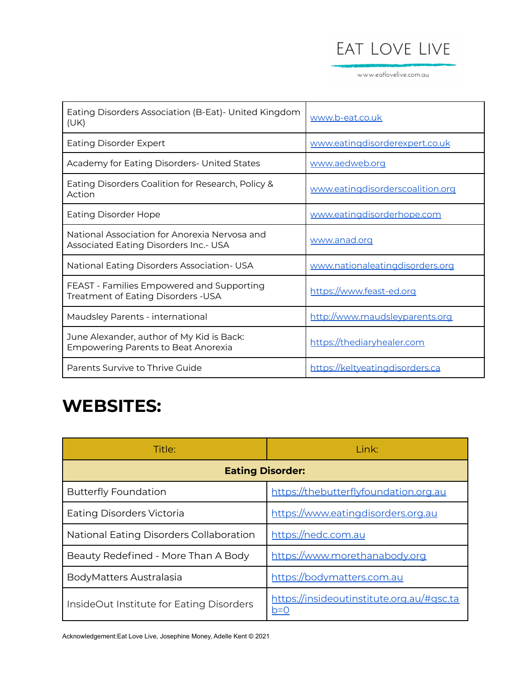## EAT LOVE LIVE

www.eatlovelive.com.au

| Eating Disorders Association (B-Eat)- United Kingdom<br>(UK)                                  | www.b-eat.co.uk                  |
|-----------------------------------------------------------------------------------------------|----------------------------------|
| Eating Disorder Expert                                                                        | www.eatingdisorderexpert.co.uk   |
| Academy for Eating Disorders- United States                                                   | www.aedweb.org                   |
| Eating Disorders Coalition for Research, Policy &<br>Action                                   | www.eatingdisorderscoalition.org |
| <b>Eating Disorder Hope</b>                                                                   | www.eatingdisorderhope.com       |
| National Association for Anorexia Nervosa and<br><b>Associated Eating Disorders Inc.- USA</b> | www.anad.org                     |
| National Eating Disorders Association- USA                                                    | www.nationaleatingdisorders.org  |
| FEAST - Families Empowered and Supporting<br>Treatment of Eating Disorders -USA               | https://www.feast-ed.org         |
| Maudsley Parents - international                                                              | http://www.maudsleyparents.org   |
| June Alexander, author of My Kid is Back:<br><b>Empowering Parents to Beat Anorexia</b>       | https://thediaryhealer.com       |
| Parents Survive to Thrive Guide                                                               | https://keltyeatingdisorders.ca  |

## **WEBSITES:**

| Title:                                   | Link:                                              |  |
|------------------------------------------|----------------------------------------------------|--|
| <b>Eating Disorder:</b>                  |                                                    |  |
| <b>Butterfly Foundation</b>              | https://thebutterflyfoundation.org.au              |  |
| Eating Disorders Victoria                | https://www.eatingdisorders.org.au                 |  |
| National Eating Disorders Collaboration  | https://nedc.com.au                                |  |
| Beauty Redefined - More Than A Body      | https://www.morethanabody.org                      |  |
| BodyMatters Australasia                  | https://bodymatters.com.au                         |  |
| InsideOut Institute for Eating Disorders | https://insideoutinstitute.org.au/#gsc.ta<br>$b=0$ |  |

Acknowledgement:Eat Love Live, Josephine Money, Adelle Kent © 2021